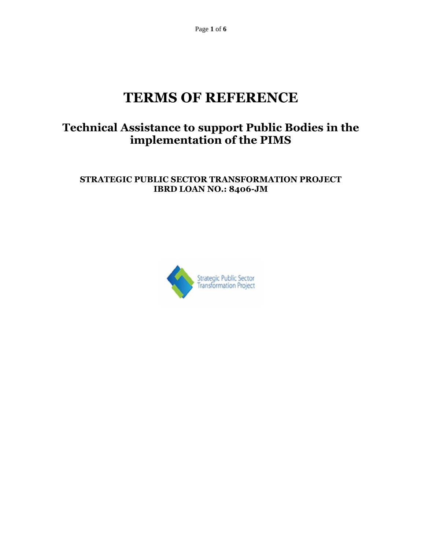Page **1** of **6**

# **TERMS OF REFERENCE**

# **Technical Assistance to support Public Bodies in the implementation of the PIMS**

# **STRATEGIC PUBLIC SECTOR TRANSFORMATION PROJECT IBRD LOAN NO.: 8406-JM**

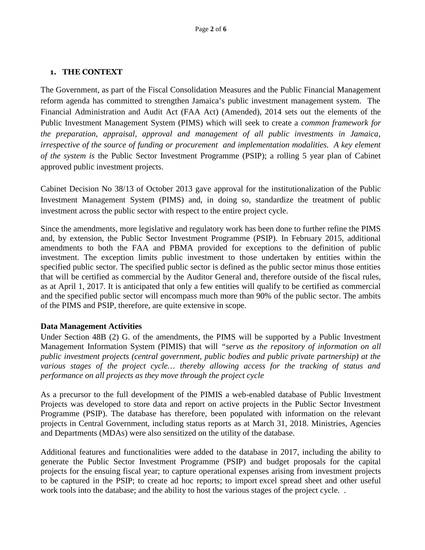#### **1. THE CONTEXT**

The Government, as part of the Fiscal Consolidation Measures and the Public Financial Management reform agenda has committed to strengthen Jamaica's public investment management system. The Financial Administration and Audit Act (FAA Act) (Amended), 2014 sets out the elements of the Public Investment Management System (PIMS) which will seek to create a *common framework for the preparation, appraisal, approval and management of all public investments in Jamaica, irrespective of the source of funding or procurement and implementation modalities. A key element of the system is* the Public Sector Investment Programme (PSIP); a rolling 5 year plan of Cabinet approved public investment projects.

Cabinet Decision No 38/13 of October 2013 gave approval for the institutionalization of the Public Investment Management System (PIMS) and, in doing so, standardize the treatment of public investment across the public sector with respect to the entire project cycle.

Since the amendments, more legislative and regulatory work has been done to further refine the PIMS and, by extension, the Public Sector Investment Programme (PSIP). In February 2015, additional amendments to both the FAA and PBMA provided for exceptions to the definition of public investment. The exception limits public investment to those undertaken by entities within the specified public sector. The specified public sector is defined as the public sector minus those entities that will be certified as commercial by the Auditor General and, therefore outside of the fiscal rules, as at April 1, 2017. It is anticipated that only a few entities will qualify to be certified as commercial and the specified public sector will encompass much more than 90% of the public sector. The ambits of the PIMS and PSIP, therefore, are quite extensive in scope.

#### **Data Management Activities**

Under Section 48B (2) G. of the amendments, the PIMS will be supported by a Public Investment Management Information System (PIMIS) that will *"serve as the repository of information on all public investment projects (central government, public bodies and public private partnership) at the various stages of the project cycle… thereby allowing access for the tracking of status and performance on all projects as they move through the project cycle*

As a precursor to the full development of the PIMIS a web-enabled database of Public Investment Projects was developed to store data and report on active projects in the Public Sector Investment Programme (PSIP). The database has therefore, been populated with information on the relevant projects in Central Government, including status reports as at March 31, 2018. Ministries, Agencies and Departments (MDAs) were also sensitized on the utility of the database.

Additional features and functionalities were added to the database in 2017, including the ability to generate the Public Sector Investment Programme (PSIP) and budget proposals for the capital projects for the ensuing fiscal year; to capture operational expenses arising from investment projects to be captured in the PSIP; to create ad hoc reports; to import excel spread sheet and other useful work tools into the database; and the ability to host the various stages of the project cycle. .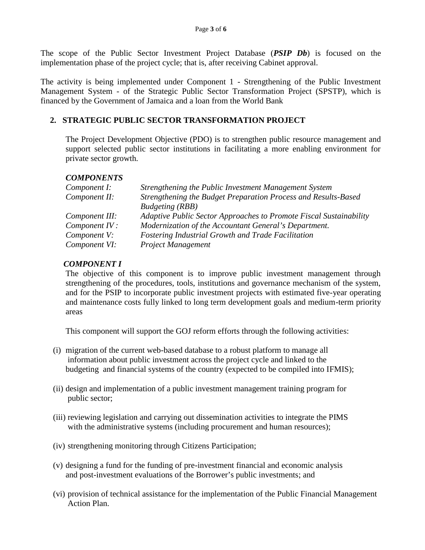The scope of the Public Sector Investment Project Database (*PSIP Db*) is focused on the implementation phase of the project cycle; that is, after receiving Cabinet approval.

The activity is being implemented under Component 1 - Strengthening of the Public Investment Management System - of the Strategic Public Sector Transformation Project (SPSTP), which is financed by the Government of Jamaica and a loan from the World Bank

## **2. STRATEGIC PUBLIC SECTOR TRANSFORMATION PROJECT**

The Project Development Objective (PDO) is to strengthen public resource management and support selected public sector institutions in facilitating a more enabling environment for private sector growth*.*

#### *COMPONENTS*

| Component I:   | Strengthening the Public Investment Management System              |
|----------------|--------------------------------------------------------------------|
| Component II:  | Strengthening the Budget Preparation Process and Results-Based     |
|                | <b>Budgeting</b> (RBB)                                             |
| Component III: | Adaptive Public Sector Approaches to Promote Fiscal Sustainability |
| Component IV:  | Modernization of the Accountant General's Department.              |
| Component V:   | <b>Fostering Industrial Growth and Trade Facilitation</b>          |
| Component VI:  | Project Management                                                 |

## *COMPONENT I*

The objective of this component is to improve public investment management through strengthening of the procedures, tools, institutions and governance mechanism of the system, and for the PSIP to incorporate public investment projects with estimated five-year operating and maintenance costs fully linked to long term development goals and medium-term priority areas

This component will support the GOJ reform efforts through the following activities:

- (i) migration of the current web-based database to a robust platform to manage all information about public investment across the project cycle and linked to the budgeting and financial systems of the country (expected to be compiled into IFMIS);
- (ii) design and implementation of a public investment management training program for public sector;
- (iii) reviewing legislation and carrying out dissemination activities to integrate the PIMS with the administrative systems (including procurement and human resources);
- (iv) strengthening monitoring through Citizens Participation;
- (v) designing a fund for the funding of pre-investment financial and economic analysis and post-investment evaluations of the Borrower's public investments; and
- (vi) provision of technical assistance for the implementation of the Public Financial Management Action Plan.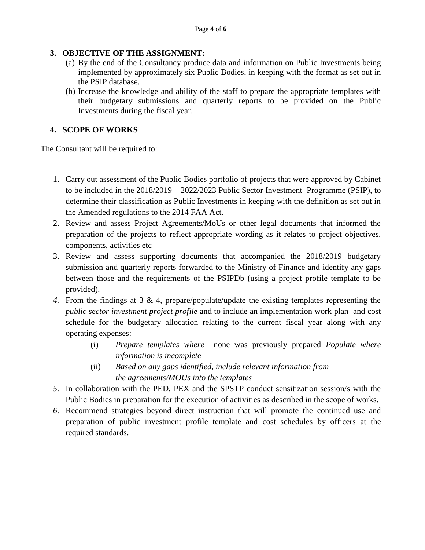## **3. OBJECTIVE OF THE ASSIGNMENT:**

- (a) By the end of the Consultancy produce data and information on Public Investments being implemented by approximately six Public Bodies, in keeping with the format as set out in the PSIP database.
- (b) Increase the knowledge and ability of the staff to prepare the appropriate templates with their budgetary submissions and quarterly reports to be provided on the Public Investments during the fiscal year.

# **4. SCOPE OF WORKS**

The Consultant will be required to:

- 1. Carry out assessment of the Public Bodies portfolio of projects that were approved by Cabinet to be included in the 2018/2019 – 2022/2023 Public Sector Investment Programme (PSIP), to determine their classification as Public Investments in keeping with the definition as set out in the Amended regulations to the 2014 FAA Act.
- 2. Review and assess Project Agreements/MoUs or other legal documents that informed the preparation of the projects to reflect appropriate wording as it relates to project objectives, components, activities etc
- 3. Review and assess supporting documents that accompanied the 2018/2019 budgetary submission and quarterly reports forwarded to the Ministry of Finance and identify any gaps between those and the requirements of the PSIPDb (using a project profile template to be provided).
- *4.* From the findings at 3 & 4, prepare/populate/update the existing templates representing the *public sector investment project profile* and to include an implementation work plan and cost schedule for the budgetary allocation relating to the current fiscal year along with any operating expenses:
	- (i) *Prepare templates where* none was previously prepared *Populate where information is incomplete*
	- (ii) *Based on any gaps identified, include relevant information from the agreements/MOUs into the templates*
- *5.* In collaboration with the PED, PEX and the SPSTP conduct sensitization session/s with the Public Bodies in preparation for the execution of activities as described in the scope of works.
- *6.* Recommend strategies beyond direct instruction that will promote the continued use and preparation of public investment profile template and cost schedules by officers at the required standards.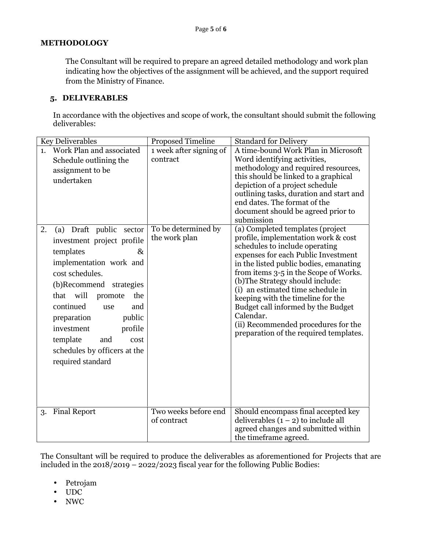#### **METHODOLOGY**

The Consultant will be required to prepare an agreed detailed methodology and work plan indicating how the objectives of the assignment will be achieved, and the support required from the Ministry of Finance.

#### **5. DELIVERABLES**

In accordance with the objectives and scope of work, the consultant should submit the following deliverables:

| <b>Key Deliverables</b>                                                                                                                                                                                                                                                                                     |                                                                                 | <b>Proposed Timeline</b>                                                    | <b>Standard for Delivery</b>                                                                                                                                                                                                                                                                                                                                                                                                                                                                                                                                                                                                                                                                                                                                                                                  |
|-------------------------------------------------------------------------------------------------------------------------------------------------------------------------------------------------------------------------------------------------------------------------------------------------------------|---------------------------------------------------------------------------------|-----------------------------------------------------------------------------|---------------------------------------------------------------------------------------------------------------------------------------------------------------------------------------------------------------------------------------------------------------------------------------------------------------------------------------------------------------------------------------------------------------------------------------------------------------------------------------------------------------------------------------------------------------------------------------------------------------------------------------------------------------------------------------------------------------------------------------------------------------------------------------------------------------|
| Work Plan and associated<br>1.<br>Schedule outlining the<br>assignment to be<br>undertaken<br>2.<br>(a) Draft public<br>investment project profile<br>templates<br>implementation work and<br>cost schedules.<br>(b)Recommend strategies<br>that will<br>continued<br>preparation<br>investment<br>template | sector<br>&<br>the<br>promote<br>and<br>use<br>public<br>profile<br>and<br>cost | 1 week after signing of<br>contract<br>To be determined by<br>the work plan | A time-bound Work Plan in Microsoft<br>Word identifying activities,<br>methodology and required resources,<br>this should be linked to a graphical<br>depiction of a project schedule<br>outlining tasks, duration and start and<br>end dates. The format of the<br>document should be agreed prior to<br>submission<br>(a) Completed templates (project<br>profile, implementation work & cost<br>schedules to include operating<br>expenses for each Public Investment<br>in the listed public bodies, emanating<br>from items 3-5 in the Scope of Works.<br>(b) The Strategy should include:<br>(i) an estimated time schedule in<br>keeping with the timeline for the<br>Budget call informed by the Budget<br>Calendar.<br>(ii) Recommended procedures for the<br>preparation of the required templates. |
| schedules by officers at the<br>required standard                                                                                                                                                                                                                                                           |                                                                                 |                                                                             |                                                                                                                                                                                                                                                                                                                                                                                                                                                                                                                                                                                                                                                                                                                                                                                                               |
| <b>Final Report</b><br>3.                                                                                                                                                                                                                                                                                   |                                                                                 | Two weeks before end<br>of contract                                         | Should encompass final accepted key<br>deliverables $(1 – 2)$ to include all<br>agreed changes and submitted within<br>the timeframe agreed.                                                                                                                                                                                                                                                                                                                                                                                                                                                                                                                                                                                                                                                                  |

The Consultant will be required to produce the deliverables as aforementioned for Projects that are included in the  $2018/2019 - 2022/2023$  fiscal year for the following Public Bodies:

- Petrojam
- UDC
- NWC